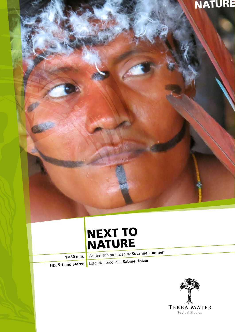## **NATURE**

## NEXT TO NATURE

**1×50 min.** Written and produced by **Susanne Lummer**

**HD, 5.1 and Stereo** Executive producer: **Sabine Holzer**